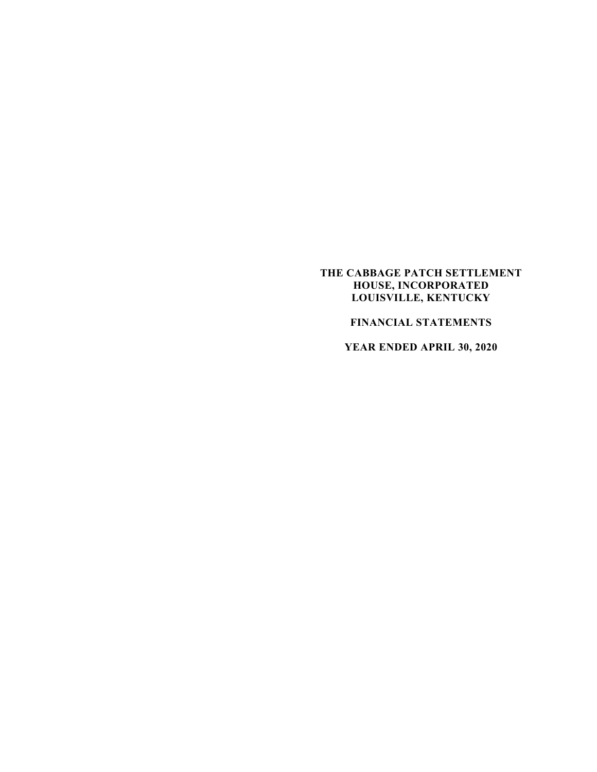# **THE CABBAGE PATCH SETTLEMENT HOUSE, INCORPORATED LOUISVILLE, KENTUCKY**

**FINANCIAL STATEMENTS** 

**YEAR ENDED APRIL 30, 2020**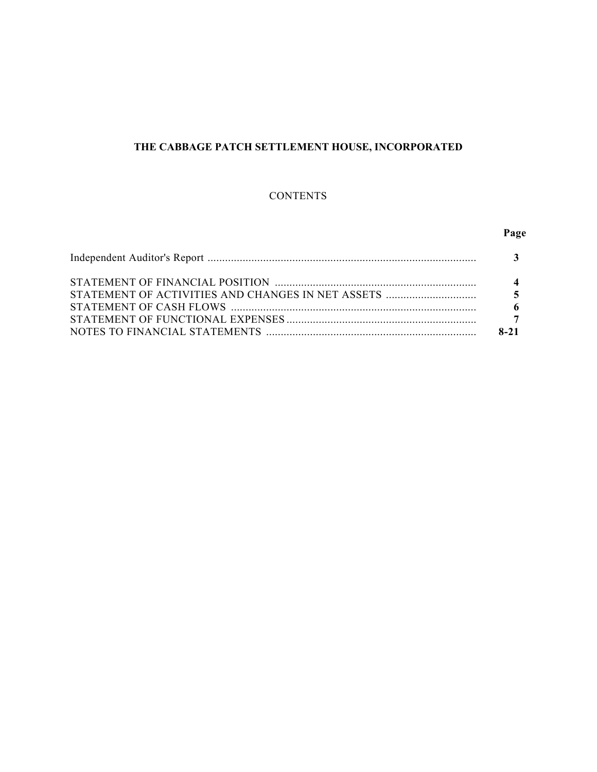# **THE CABBAGE PATCH SETTLEMENT HOUSE, INCORPORATED**

# **CONTENTS**

| $8-21$ |
|--------|

# **Page**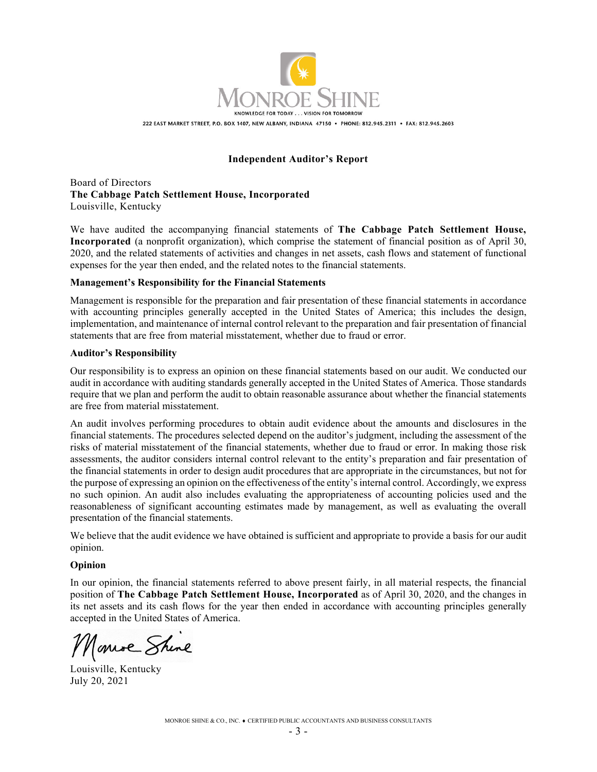

222 EAST MARKET STREET, P.O. BOX 1407, NEW ALBANY, INDIANA 47150 · PHONE: 812.945.2311 · FAX: 812.945.2603

### **Independent Auditor's Report**

Board of Directors **The Cabbage Patch Settlement House, Incorporated**  Louisville, Kentucky

We have audited the accompanying financial statements of **The Cabbage Patch Settlement House, Incorporated** (a nonprofit organization), which comprise the statement of financial position as of April 30, 2020, and the related statements of activities and changes in net assets, cash flows and statement of functional expenses for the year then ended, and the related notes to the financial statements.

#### **Management's Responsibility for the Financial Statements**

Management is responsible for the preparation and fair presentation of these financial statements in accordance with accounting principles generally accepted in the United States of America; this includes the design, implementation, and maintenance of internal control relevant to the preparation and fair presentation of financial statements that are free from material misstatement, whether due to fraud or error.

#### **Auditor's Responsibility**

Our responsibility is to express an opinion on these financial statements based on our audit. We conducted our audit in accordance with auditing standards generally accepted in the United States of America. Those standards require that we plan and perform the audit to obtain reasonable assurance about whether the financial statements are free from material misstatement.

An audit involves performing procedures to obtain audit evidence about the amounts and disclosures in the financial statements. The procedures selected depend on the auditor's judgment, including the assessment of the risks of material misstatement of the financial statements, whether due to fraud or error. In making those risk assessments, the auditor considers internal control relevant to the entity's preparation and fair presentation of the financial statements in order to design audit procedures that are appropriate in the circumstances, but not for the purpose of expressing an opinion on the effectiveness of the entity's internal control. Accordingly, we express no such opinion. An audit also includes evaluating the appropriateness of accounting policies used and the reasonableness of significant accounting estimates made by management, as well as evaluating the overall presentation of the financial statements.

We believe that the audit evidence we have obtained is sufficient and appropriate to provide a basis for our audit opinion.

#### **Opinion**

In our opinion, the financial statements referred to above present fairly, in all material respects, the financial position of **The Cabbage Patch Settlement House, Incorporated** as of April 30, 2020, and the changes in its net assets and its cash flows for the year then ended in accordance with accounting principles generally accepted in the United States of America.

Monroe Shire

Louisville, Kentucky July 20, 2021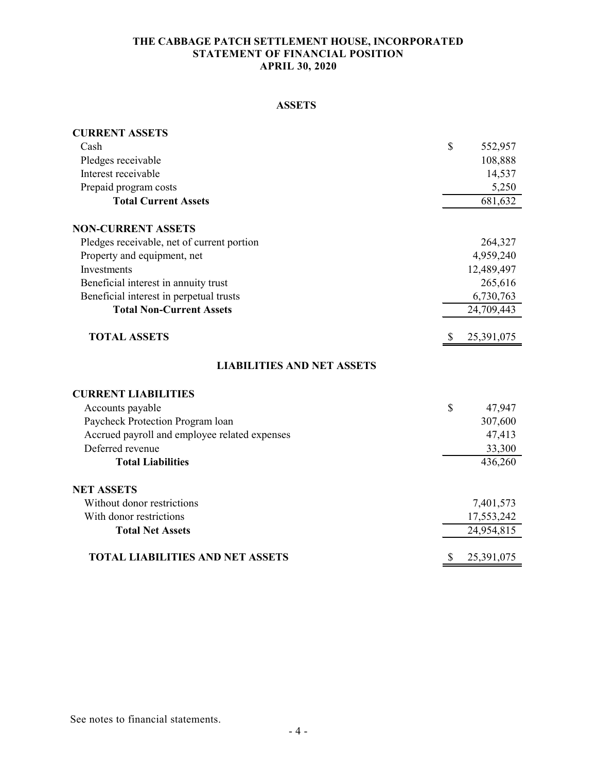### **THE CABBAGE PATCH SETTLEMENT HOUSE, INCORPORATED STATEMENT OF FINANCIAL POSITION APRIL 30, 2020**

### **ASSETS**

| <b>CURRENT ASSETS</b>                         |                  |
|-----------------------------------------------|------------------|
| Cash                                          | \$<br>552,957    |
| Pledges receivable                            | 108,888          |
| Interest receivable                           | 14,537           |
| Prepaid program costs                         | 5,250            |
| <b>Total Current Assets</b>                   | 681,632          |
| <b>NON-CURRENT ASSETS</b>                     |                  |
| Pledges receivable, net of current portion    | 264,327          |
| Property and equipment, net                   | 4,959,240        |
| Investments                                   | 12,489,497       |
| Beneficial interest in annuity trust          | 265,616          |
| Beneficial interest in perpetual trusts       | 6,730,763        |
| <b>Total Non-Current Assets</b>               | 24,709,443       |
| <b>TOTAL ASSETS</b>                           | \$<br>25,391,075 |
| <b>LIABILITIES AND NET ASSETS</b>             |                  |
| <b>CURRENT LIABILITIES</b>                    |                  |
| Accounts payable                              | \$<br>47,947     |
| Paycheck Protection Program loan              | 307,600          |
| Accrued payroll and employee related expenses | 47,413           |
| Deferred revenue                              | 33,300           |
| <b>Total Liabilities</b>                      | 436,260          |
| <b>NET ASSETS</b>                             |                  |
| Without donor restrictions                    | 7,401,573        |
| With donor restrictions                       | 17,553,242       |
| <b>Total Net Assets</b>                       | 24,954,815       |
| <b>TOTAL LIABILITIES AND NET ASSETS</b>       | \$<br>25,391,075 |

See notes to financial statements.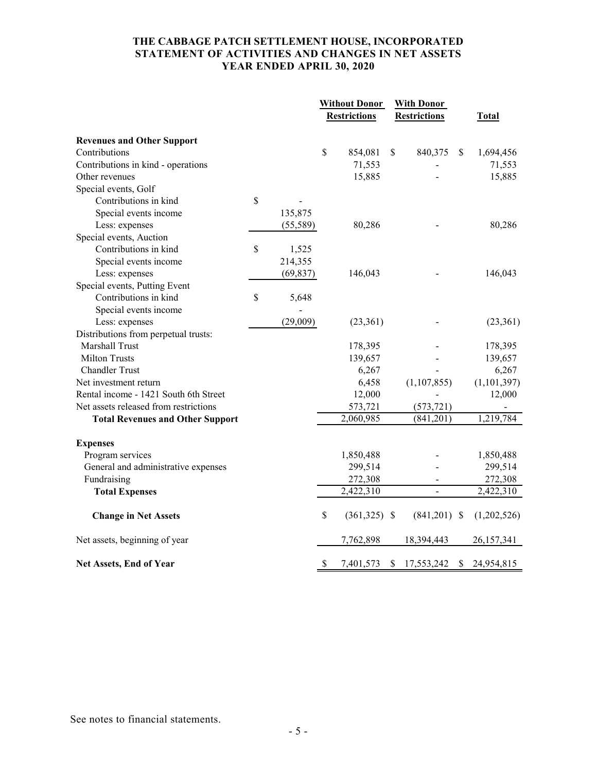### **THE CABBAGE PATCH SETTLEMENT HOUSE, INCORPORATED STATEMENT OF ACTIVITIES AND CHANGES IN NET ASSETS YEAR ENDED APRIL 30, 2020**

|                                         |             | <b>Without Donor</b> |                     | <b>With Donor</b>        |     |               |  |  |
|-----------------------------------------|-------------|----------------------|---------------------|--------------------------|-----|---------------|--|--|
|                                         |             |                      | <b>Restrictions</b> | <b>Restrictions</b>      |     | <b>Total</b>  |  |  |
| <b>Revenues and Other Support</b>       |             |                      |                     |                          |     |               |  |  |
| Contributions                           |             | $\$$                 | 854,081             | \$<br>840,375            | \$. | 1,694,456     |  |  |
| Contributions in kind - operations      |             |                      | 71,553              |                          |     | 71,553        |  |  |
| Other revenues                          |             |                      | 15,885              |                          |     | 15,885        |  |  |
| Special events, Golf                    |             |                      |                     |                          |     |               |  |  |
| Contributions in kind                   | \$          |                      |                     |                          |     |               |  |  |
| Special events income                   | 135,875     |                      |                     |                          |     |               |  |  |
| Less: expenses                          | (55, 589)   |                      | 80,286              |                          |     | 80,286        |  |  |
| Special events, Auction                 |             |                      |                     |                          |     |               |  |  |
| Contributions in kind                   | \$<br>1,525 |                      |                     |                          |     |               |  |  |
| Special events income                   | 214,355     |                      |                     |                          |     |               |  |  |
| Less: expenses                          | (69, 837)   |                      | 146,043             |                          |     | 146,043       |  |  |
| Special events, Putting Event           |             |                      |                     |                          |     |               |  |  |
| Contributions in kind                   | \$<br>5,648 |                      |                     |                          |     |               |  |  |
| Special events income                   |             |                      |                     |                          |     |               |  |  |
| Less: expenses                          | (29,009)    |                      | (23,361)            |                          |     | (23,361)      |  |  |
| Distributions from perpetual trusts:    |             |                      |                     |                          |     |               |  |  |
| Marshall Trust                          |             |                      | 178,395             |                          |     | 178,395       |  |  |
| <b>Milton Trusts</b>                    |             |                      | 139,657             |                          |     | 139,657       |  |  |
| <b>Chandler Trust</b>                   |             |                      | 6,267               |                          |     | 6,267         |  |  |
| Net investment return                   |             |                      | 6,458               | (1,107,855)              |     | (1, 101, 397) |  |  |
| Rental income - 1421 South 6th Street   |             |                      | 12,000              |                          |     | 12,000        |  |  |
| Net assets released from restrictions   |             |                      | 573,721             | (573, 721)               |     |               |  |  |
| <b>Total Revenues and Other Support</b> |             |                      | 2,060,985           | (841,201)                |     | 1,219,784     |  |  |
| <b>Expenses</b>                         |             |                      |                     |                          |     |               |  |  |
| Program services                        |             |                      | 1,850,488           |                          |     | 1,850,488     |  |  |
| General and administrative expenses     |             |                      | 299,514             |                          |     | 299,514       |  |  |
| Fundraising                             |             |                      | 272,308             |                          |     | 272,308       |  |  |
| <b>Total Expenses</b>                   |             |                      | 2,422,310           | $\overline{\phantom{0}}$ |     | 2,422,310     |  |  |
|                                         |             |                      |                     |                          |     |               |  |  |
| <b>Change in Net Assets</b>             |             | \$                   | $(361,325)$ \$      | $(841,201)$ \$           |     | (1,202,526)   |  |  |
| Net assets, beginning of year           |             |                      | 7,762,898           | 18,394,443               |     | 26,157,341    |  |  |
| <b>Net Assets, End of Year</b>          |             | \$                   | 7,401,573           | 17,553,242<br>\$         | S   | 24,954,815    |  |  |

See notes to financial statements.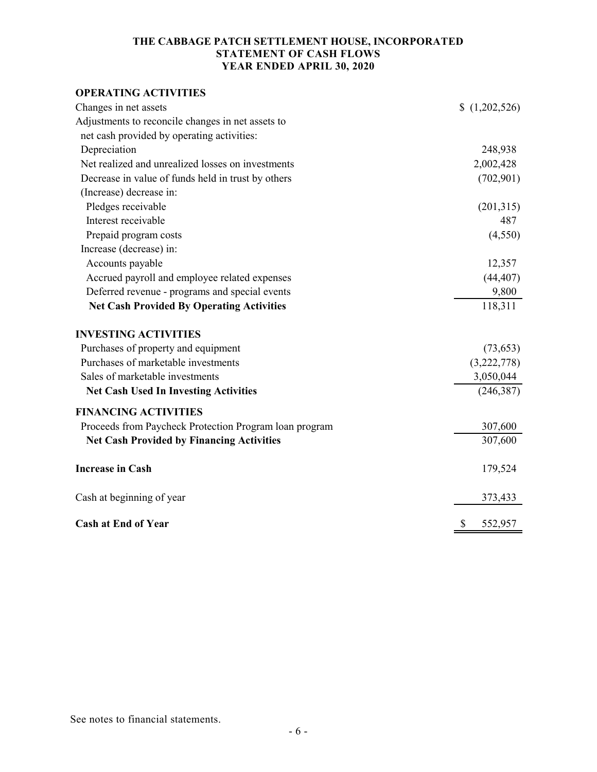### **THE CABBAGE PATCH SETTLEMENT HOUSE, INCORPORATED STATEMENT OF CASH FLOWS YEAR ENDED APRIL 30, 2020**

# **OPERATING ACTIVITIES**

| Changes in net assets                                  | (1,202,526)   |
|--------------------------------------------------------|---------------|
| Adjustments to reconcile changes in net assets to      |               |
| net cash provided by operating activities:             |               |
| Depreciation                                           | 248,938       |
| Net realized and unrealized losses on investments      | 2,002,428     |
| Decrease in value of funds held in trust by others     | (702, 901)    |
| (Increase) decrease in:                                |               |
| Pledges receivable                                     | (201,315)     |
| Interest receivable                                    | 487           |
| Prepaid program costs                                  | (4,550)       |
| Increase (decrease) in:                                |               |
| Accounts payable                                       | 12,357        |
| Accrued payroll and employee related expenses          | (44, 407)     |
| Deferred revenue - programs and special events         | 9,800         |
| <b>Net Cash Provided By Operating Activities</b>       | 118,311       |
| <b>INVESTING ACTIVITIES</b>                            |               |
| Purchases of property and equipment                    | (73, 653)     |
| Purchases of marketable investments                    | (3,222,778)   |
| Sales of marketable investments                        | 3,050,044     |
| <b>Net Cash Used In Investing Activities</b>           | (246, 387)    |
| <b>FINANCING ACTIVITIES</b>                            |               |
| Proceeds from Paycheck Protection Program loan program | 307,600       |
| <b>Net Cash Provided by Financing Activities</b>       | 307,600       |
| <b>Increase in Cash</b>                                | 179,524       |
| Cash at beginning of year                              | 373,433       |
| <b>Cash at End of Year</b>                             | \$<br>552,957 |

See notes to financial statements.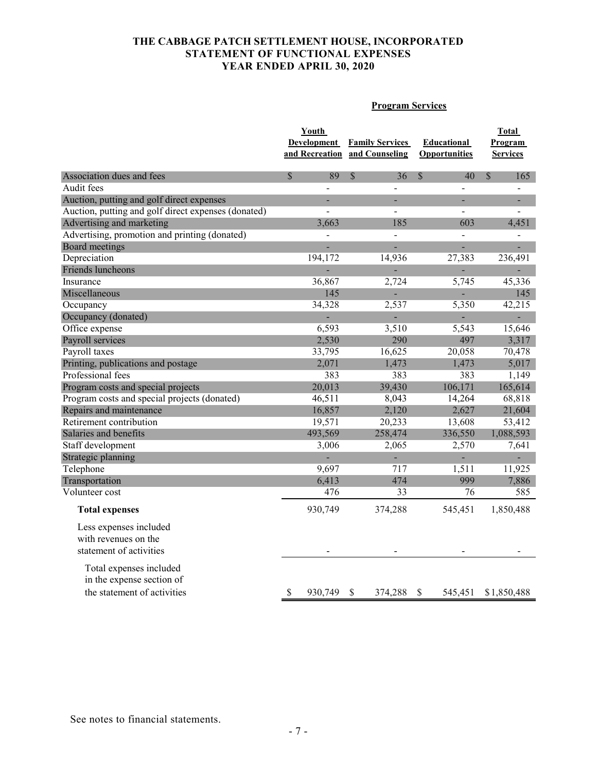### **THE CABBAGE PATCH SETTLEMENT HOUSE, INCORPORATED STATEMENT OF FUNCTIONAL EXPENSES YEAR ENDED APRIL 30, 2020**

#### **Program Services**

|                                                                                     | Youth<br><b>Development</b> | <b>Family Services</b><br><b>Educational</b><br>and Recreation and Counseling<br><b>Opportunities</b> |                          | Total<br>Program<br><b>Services</b> |
|-------------------------------------------------------------------------------------|-----------------------------|-------------------------------------------------------------------------------------------------------|--------------------------|-------------------------------------|
| Association dues and fees                                                           | $\mathbb{S}$<br>89          | \$<br>36                                                                                              | S<br>40                  | S<br>165                            |
| Audit fees                                                                          |                             | $\overline{\phantom{a}}$                                                                              | $\overline{a}$           | $\overline{\phantom{a}}$            |
| Auction, putting and golf direct expenses                                           |                             |                                                                                                       |                          |                                     |
| Auction, putting and golf direct expenses (donated)                                 | $\overline{a}$              | $\overline{\phantom{a}}$                                                                              | $\overline{a}$           |                                     |
| Advertising and marketing                                                           | 3,663                       | 185                                                                                                   | 603                      | 4,451                               |
| Advertising, promotion and printing (donated)                                       |                             | $\overline{\phantom{0}}$                                                                              | $\overline{a}$           |                                     |
| Board meetings                                                                      |                             |                                                                                                       |                          |                                     |
| Depreciation                                                                        | 194,172                     | 14,936                                                                                                | 27,383                   | 236,491                             |
| Friends luncheons                                                                   |                             | L,                                                                                                    | ÷.                       |                                     |
| Insurance                                                                           | 36,867                      | 2,724                                                                                                 | 5,745                    | 45,336                              |
| Miscellaneous                                                                       | 145                         |                                                                                                       |                          | 145                                 |
| Occupancy                                                                           | 34,328                      | 2,537                                                                                                 | 5,350                    | 42,215                              |
| Occupancy (donated)                                                                 |                             | ÷                                                                                                     | ÷.                       | ÷,                                  |
| Office expense                                                                      | 6,593                       | 3,510                                                                                                 | 5,543                    | 15,646                              |
| Payroll services                                                                    | 2,530                       | 290                                                                                                   | 497                      | 3,317                               |
| Payroll taxes                                                                       | 33,795                      | 16,625                                                                                                | 20,058                   | 70,478                              |
| Printing, publications and postage                                                  | 2,071                       | 1,473                                                                                                 | 1,473                    | 5,017                               |
| Professional fees                                                                   | 383                         | 383                                                                                                   | 383                      | 1,149                               |
| Program costs and special projects                                                  | 20,013                      | 39,430                                                                                                | 106,171                  | 165,614                             |
| Program costs and special projects (donated)                                        | 46,511                      | 8,043                                                                                                 | 14,264                   | 68,818                              |
| Repairs and maintenance                                                             | 16,857                      | 2,120                                                                                                 | 2,627                    | 21,604                              |
| Retirement contribution                                                             | 19,571                      | 20,233                                                                                                | 13,608                   | 53,412                              |
| Salaries and benefits                                                               | 493,569                     | 258,474                                                                                               | 336,550                  | 1,088,593                           |
| Staff development                                                                   | 3,006                       | 2,065                                                                                                 | 2,570                    | 7,641                               |
| Strategic planning                                                                  |                             | ÷,                                                                                                    | ÷.                       | ÷,                                  |
| Telephone                                                                           | 9,697                       | 717                                                                                                   | 1,511                    | 11,925                              |
| Transportation                                                                      | 6,413                       | 474                                                                                                   | 999                      | 7,886                               |
| Volunteer cost                                                                      | 476                         | 33                                                                                                    | 76                       | 585                                 |
| <b>Total expenses</b>                                                               | 930,749                     | 374,288                                                                                               | 545,451                  | 1,850,488                           |
| Less expenses included<br>with revenues on the<br>statement of activities           |                             |                                                                                                       |                          |                                     |
| Total expenses included<br>in the expense section of<br>the statement of activities | \$<br>930,749               | $\mathcal{S}$<br>374,288                                                                              | $\mathcal{S}$<br>545,451 | \$1,850,488                         |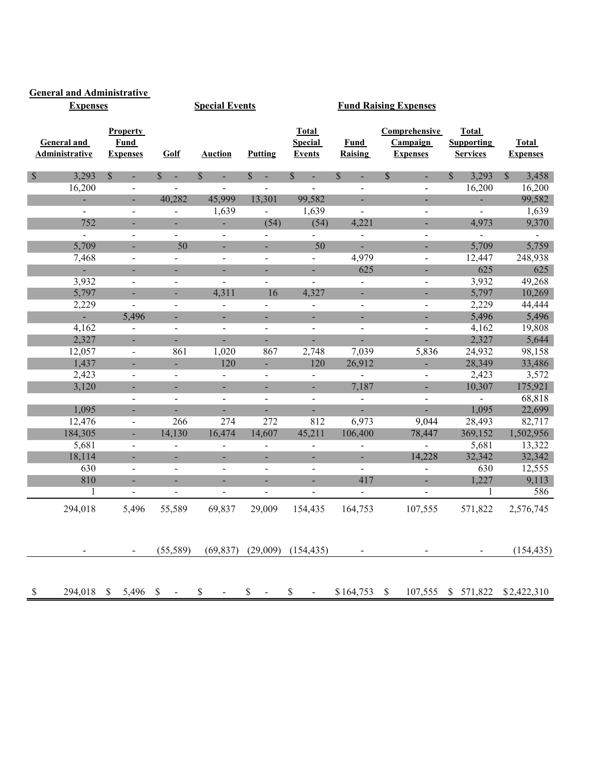| <b>General and Administrative</b>           |                          |                                                   |                      |                          |               |                              |              |                          |              |                                          |                              |                           |                                    |                          |                                               |              |                                 |
|---------------------------------------------|--------------------------|---------------------------------------------------|----------------------|--------------------------|---------------|------------------------------|--------------|--------------------------|--------------|------------------------------------------|------------------------------|---------------------------|------------------------------------|--------------------------|-----------------------------------------------|--------------|---------------------------------|
|                                             | <b>Expenses</b>          |                                                   |                      |                          |               | <b>Special Events</b>        |              |                          |              |                                          | <b>Fund Raising Expenses</b> |                           |                                    |                          |                                               |              |                                 |
| <b>General and</b><br><b>Administrative</b> |                          | <b>Property</b><br><b>Fund</b><br><b>Expenses</b> |                      | <b>Golf</b>              |               | <b>Auction</b>               |              | Putting                  |              | Total<br><b>Special</b><br><b>Events</b> | Fund<br>Raising              |                           | <b>Campaign</b><br><b>Expenses</b> | <b>Comprehensive</b>     | Total<br><b>Supporting</b><br><b>Services</b> |              | <b>Total</b><br><b>Expenses</b> |
| $\mathcal{S}$<br>3,293                      |                          | $\mathbb{S}$<br>÷,                                | $\sqrt{\frac{2}{5}}$ | $\overline{\phantom{a}}$ | $\mathcal{S}$ | ÷,                           | $\mathbb{S}$ | $\overline{\phantom{a}}$ | $\mathbb{S}$ | $\overline{\phantom{a}}$                 | \$<br>٠                      | $\boldsymbol{\mathsf{S}}$ |                                    | $\overline{\phantom{a}}$ | \$<br>3,293                                   | $\mathbb{S}$ | 3,458                           |
| 16,200                                      |                          | $\overline{\phantom{a}}$                          |                      | $\overline{\phantom{a}}$ |               | $\overline{\phantom{0}}$     |              | $\overline{a}$           |              | $\blacksquare$                           | $\overline{\phantom{a}}$     |                           |                                    | $\overline{\phantom{a}}$ | 16,200                                        |              | 16,200                          |
|                                             | $\overline{\phantom{a}}$ | L,                                                |                      | 40,282                   |               | 45,999                       |              | 13,301                   |              | 99,582                                   | $\overline{\phantom{a}}$     |                           |                                    | $\overline{\phantom{a}}$ | ÷,                                            |              | 99,582                          |
|                                             | $\overline{\phantom{a}}$ | $\overline{\phantom{a}}$                          |                      | $\overline{\phantom{a}}$ |               | 1,639                        |              | $\overline{\phantom{0}}$ |              | 1,639                                    | $\overline{\phantom{a}}$     |                           |                                    | $\overline{\phantom{a}}$ | $\overline{\phantom{0}}$                      |              | 1,639                           |
|                                             | 752                      | ÷,                                                |                      | ÷,                       |               | ÷.                           |              | (54)                     |              | (54)                                     | 4,221                        |                           |                                    | ÷                        | 4,973                                         |              | 9,370                           |
|                                             | $\omega$                 | $\overline{\phantom{a}}$                          |                      | $\overline{\phantom{a}}$ |               | $\overline{\phantom{0}}$     |              | $\overline{\phantom{0}}$ |              | $\sim$                                   | $\overline{\phantom{a}}$     |                           |                                    | $\overline{\phantom{a}}$ | $\blacksquare$                                |              | $\overline{\phantom{a}}$        |
|                                             | 5,709                    | L,                                                |                      | 50                       |               | ÷,                           |              | ÷,                       |              | 50                                       | ÷,                           |                           |                                    | ÷,                       | 5,709                                         |              | 5,759                           |
|                                             | 7,468                    | $\overline{\phantom{a}}$                          |                      | $\overline{\phantom{a}}$ |               | $\overline{\phantom{0}}$     |              | $\overline{\phantom{0}}$ |              | $\overline{\phantom{a}}$                 | 4,979                        |                           |                                    | $\overline{\phantom{a}}$ | 12,447                                        |              | 248,938                         |
|                                             |                          | ÷,                                                |                      | ÷,                       |               | ÷,                           |              | ÷,                       |              | ÷.                                       | 625                          |                           |                                    | ÷,                       | 625                                           |              | 625                             |
|                                             | 3,932                    | $\overline{\phantom{a}}$                          |                      | $\overline{\phantom{a}}$ |               | $\qquad \qquad \blacksquare$ |              | $\overline{\phantom{0}}$ |              | $\blacksquare$                           | $\overline{\phantom{a}}$     |                           |                                    | $\overline{\phantom{a}}$ | 3,932                                         |              | 49,268                          |
|                                             | 5,797                    | ÷,                                                |                      | ÷,                       |               | 4,311                        |              | 16                       |              | 4,327                                    | $\overline{\phantom{a}}$     |                           |                                    | ÷,                       | 5,797                                         |              | 10,269                          |
|                                             | 2,229                    | $\blacksquare$                                    |                      | $\overline{\phantom{a}}$ |               | ÷,                           |              | $\overline{\phantom{0}}$ |              | $\overline{\phantom{0}}$                 | $\overline{\phantom{a}}$     |                           |                                    | $\overline{\phantom{a}}$ | 2,229                                         |              | 44,444                          |
|                                             | $\blacksquare$           | 5,496                                             |                      | ÷,                       |               | ÷,                           |              | ÷,                       |              | $\overline{\phantom{0}}$                 | $\overline{\phantom{a}}$     |                           |                                    | $\overline{\phantom{a}}$ | 5,496                                         |              | 5,496                           |
|                                             | 4,162                    | $\blacksquare$                                    |                      | $\overline{\phantom{a}}$ |               | $\overline{\phantom{0}}$     |              | $\overline{\phantom{0}}$ |              | $\overline{\phantom{a}}$                 | $\overline{\phantom{a}}$     |                           |                                    | $\overline{\phantom{a}}$ | 4,162                                         |              | 19,808                          |
|                                             | 2,327                    | ÷,                                                |                      | ÷,                       |               | L,                           |              | L,                       |              |                                          | L,                           |                           |                                    |                          | 2,327                                         |              | 5,644                           |
| 12,057                                      |                          | $\overline{\phantom{0}}$                          |                      | 861                      |               | 1,020                        |              | 867                      |              | 2,748                                    | 7,039                        |                           |                                    | 5,836                    | 24,932                                        |              | 98,158                          |
|                                             | 1,437                    | ÷,                                                |                      | $\overline{\phantom{a}}$ |               | 120                          |              | ÷.                       |              | 120                                      | 26,912                       |                           |                                    | $\blacksquare$           | 28,349                                        |              | 33,486                          |
|                                             | 2,423                    | $\overline{\phantom{a}}$                          |                      | $\overline{\phantom{a}}$ |               | $\overline{\phantom{0}}$     |              | $\overline{\phantom{0}}$ |              | $\overline{\phantom{a}}$                 | $\overline{\phantom{a}}$     |                           |                                    | $\overline{\phantom{a}}$ | 2,423                                         |              | 3,572                           |
|                                             | 3,120                    | ÷,                                                |                      | ÷,                       |               | ÷,                           |              | ÷,                       |              | $\overline{\phantom{a}}$                 | 7,187                        |                           |                                    | $\overline{\phantom{a}}$ | 10,307                                        |              | 175,921                         |
|                                             |                          | $\overline{\phantom{a}}$                          |                      | $\overline{\phantom{a}}$ |               | $\overline{\phantom{0}}$     |              | $\overline{\phantom{0}}$ |              | $\overline{\phantom{a}}$                 | $\overline{\phantom{a}}$     |                           |                                    | $\overline{\phantom{a}}$ | $\blacksquare$                                |              | 68,818                          |
|                                             | 1,095                    | ÷,                                                |                      | ÷,                       |               | L,                           |              | L,                       |              | $\overline{\phantom{a}}$                 | L,                           |                           |                                    | ÷.                       | 1,095                                         |              | 22,699                          |
| 12,476                                      |                          | $\overline{\phantom{a}}$                          |                      | 266                      |               | 274                          |              | 272                      |              | 812                                      | 6,973                        |                           |                                    | 9,044                    | 28,493                                        |              | 82,717                          |
| 184,305                                     |                          | ÷.                                                |                      | 14,130                   |               | 16,474                       |              | 14,607                   |              | 45,211                                   | 106,400                      |                           |                                    | 78,447                   | 369,152                                       |              | 1,502,956                       |
|                                             | 5,681                    | $\overline{\phantom{a}}$                          |                      | $\overline{\phantom{a}}$ |               | $\overline{\phantom{0}}$     |              | $\overline{\phantom{0}}$ |              | $\overline{\phantom{0}}$                 |                              |                           |                                    | $\overline{a}$           | 5,681                                         |              | 13,322                          |
| 18,114                                      |                          | ÷.                                                |                      | $\overline{\phantom{a}}$ |               | ÷,                           |              | ÷.                       |              | $\overline{\phantom{0}}$                 | $\overline{\phantom{a}}$     |                           |                                    | 14,228                   | 32,342                                        |              | 32,342                          |
|                                             | 630                      | $\overline{\phantom{a}}$                          |                      | $\overline{\phantom{a}}$ |               | $\overline{\phantom{0}}$     |              | $\overline{\phantom{0}}$ |              | $\overline{\phantom{a}}$                 | $\overline{\phantom{a}}$     |                           |                                    | $\overline{\phantom{0}}$ | 630                                           |              | 12,555                          |
|                                             | 810                      | ÷.                                                |                      | $\overline{\phantom{a}}$ |               | ÷.                           |              | ÷.                       |              | $\overline{\phantom{a}}$                 | 417                          |                           |                                    | $\overline{\phantom{a}}$ | 1,227                                         |              | 9,113                           |
|                                             | 1                        | $\overline{\phantom{a}}$                          |                      | $\blacksquare$           |               | $\overline{\phantom{0}}$     |              | $\overline{\phantom{a}}$ |              | $\overline{\phantom{a}}$                 | $\overline{a}$               |                           |                                    | $\overline{\phantom{a}}$ | 1                                             |              | 586                             |
| 294,018                                     |                          | 5,496                                             |                      | 55,589                   |               | 69,837                       |              | 29,009                   |              | 154,435                                  | 164,753                      |                           |                                    | 107,555                  | 571,822                                       |              | 2,576,745                       |
|                                             |                          |                                                   |                      | (55,589)                 |               | (69, 837)                    |              | (29,009)                 |              | (154, 435)                               |                              |                           |                                    |                          |                                               |              | (154, 435)                      |
|                                             |                          | 294,018 \$ 5,496 \$                               |                      |                          | \$            |                              | $\mathbb{S}$ |                          | \$           |                                          | $$164,753$ \ \$              |                           |                                    |                          | 107,555 \$ 571,822 \$2,422,310                |              |                                 |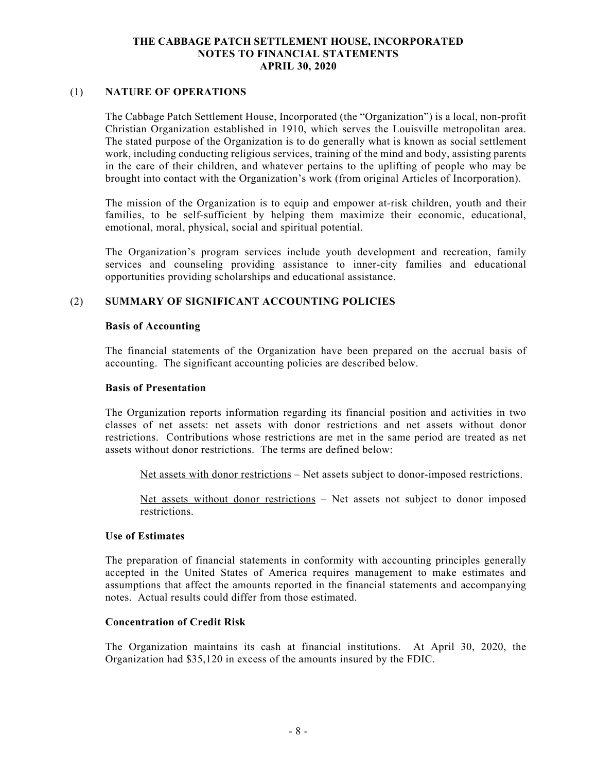### (1) **NATURE OF OPERATIONS**

The Cabbage Patch Settlement House, Incorporated (the "Organization") is a local, non-profit Christian Organization established in 1910, which serves the Louisville metropolitan area. The stated purpose of the Organization is to do generally what is known as social settlement work, including conducting religious services, training of the mind and body, assisting parents in the care of their children, and whatever pertains to the uplifting of people who may be brought into contact with the Organization's work (from original Articles of Incorporation).

The mission of the Organization is to equip and empower at-risk children, youth and their families, to be self-sufficient by helping them maximize their economic, educational, emotional, moral, physical, social and spiritual potential.

The Organization's program services include youth development and recreation, family services and counseling providing assistance to inner-city families and educational opportunities providing scholarships and educational assistance.

### (2) **SUMMARY OF SIGNIFICANT ACCOUNTING POLICIES**

#### **Basis of Accounting**

The financial statements of the Organization have been prepared on the accrual basis of accounting. The significant accounting policies are described below.

#### **Basis of Presentation**

The Organization reports information regarding its financial position and activities in two classes of net assets: net assets with donor restrictions and net assets without donor restrictions. Contributions whose restrictions are met in the same period are treated as net assets without donor restrictions. The terms are defined below:

Net assets with donor restrictions – Net assets subject to donor-imposed restrictions.

Net assets without donor restrictions – Net assets not subject to donor imposed restrictions.

### **Use of Estimates**

The preparation of financial statements in conformity with accounting principles generally accepted in the United States of America requires management to make estimates and assumptions that affect the amounts reported in the financial statements and accompanying notes. Actual results could differ from those estimated.

### **Concentration of Credit Risk**

The Organization maintains its cash at financial institutions. At April 30, 2020, the Organization had \$35,120 in excess of the amounts insured by the FDIC.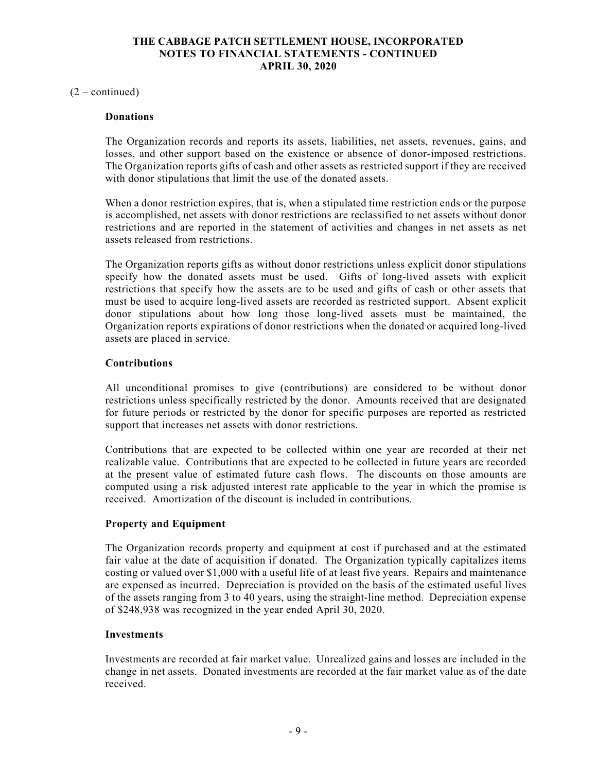### $(2 - \text{continued})$

### **Donations**

The Organization records and reports its assets, liabilities, net assets, revenues, gains, and losses, and other support based on the existence or absence of donor-imposed restrictions. The Organization reports gifts of cash and other assets as restricted support if they are received with donor stipulations that limit the use of the donated assets.

When a donor restriction expires, that is, when a stipulated time restriction ends or the purpose is accomplished, net assets with donor restrictions are reclassified to net assets without donor restrictions and are reported in the statement of activities and changes in net assets as net assets released from restrictions.

The Organization reports gifts as without donor restrictions unless explicit donor stipulations specify how the donated assets must be used. Gifts of long-lived assets with explicit restrictions that specify how the assets are to be used and gifts of cash or other assets that must be used to acquire long-lived assets are recorded as restricted support. Absent explicit donor stipulations about how long those long-lived assets must be maintained, the Organization reports expirations of donor restrictions when the donated or acquired long-lived assets are placed in service.

#### **Contributions**

All unconditional promises to give (contributions) are considered to be without donor restrictions unless specifically restricted by the donor. Amounts received that are designated for future periods or restricted by the donor for specific purposes are reported as restricted support that increases net assets with donor restrictions.

Contributions that are expected to be collected within one year are recorded at their net realizable value. Contributions that are expected to be collected in future years are recorded at the present value of estimated future cash flows. The discounts on those amounts are computed using a risk adjusted interest rate applicable to the year in which the promise is received. Amortization of the discount is included in contributions.

### **Property and Equipment**

The Organization records property and equipment at cost if purchased and at the estimated fair value at the date of acquisition if donated. The Organization typically capitalizes items costing or valued over \$1,000 with a useful life of at least five years. Repairs and maintenance are expensed as incurred. Depreciation is provided on the basis of the estimated useful lives of the assets ranging from 3 to 40 years, using the straight-line method. Depreciation expense of \$248,938 was recognized in the year ended April 30, 2020.

### **Investments**

Investments are recorded at fair market value. Unrealized gains and losses are included in the change in net assets. Donated investments are recorded at the fair market value as of the date received.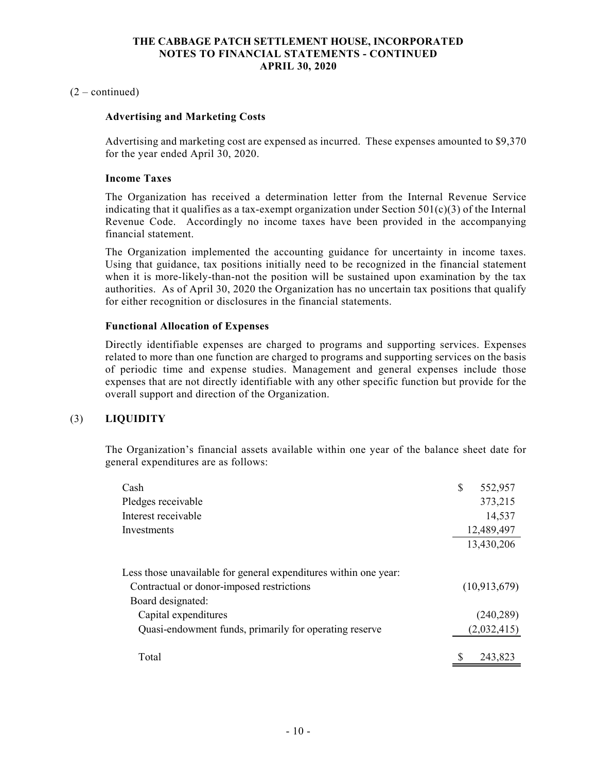### $(2 - \text{continued})$

### **Advertising and Marketing Costs**

Advertising and marketing cost are expensed as incurred. These expenses amounted to \$9,370 for the year ended April 30, 2020.

#### **Income Taxes**

The Organization has received a determination letter from the Internal Revenue Service indicating that it qualifies as a tax-exempt organization under Section  $501(c)(3)$  of the Internal Revenue Code. Accordingly no income taxes have been provided in the accompanying financial statement.

The Organization implemented the accounting guidance for uncertainty in income taxes. Using that guidance, tax positions initially need to be recognized in the financial statement when it is more-likely-than-not the position will be sustained upon examination by the tax authorities. As of April 30, 2020 the Organization has no uncertain tax positions that qualify for either recognition or disclosures in the financial statements.

#### **Functional Allocation of Expenses**

Directly identifiable expenses are charged to programs and supporting services. Expenses related to more than one function are charged to programs and supporting services on the basis of periodic time and expense studies. Management and general expenses include those expenses that are not directly identifiable with any other specific function but provide for the overall support and direction of the Organization.

### (3) **LIQUIDITY**

The Organization's financial assets available within one year of the balance sheet date for general expenditures are as follows:

| Cash                                                             | $\mathcal{S}$<br>552,957 |  |
|------------------------------------------------------------------|--------------------------|--|
| Pledges receivable                                               | 373,215                  |  |
| Interest receivable                                              | 14,537                   |  |
| Investments                                                      | 12,489,497               |  |
|                                                                  | 13,430,206               |  |
| Less those unavailable for general expenditures within one year: |                          |  |
| Contractual or donor-imposed restrictions                        | (10,913,679)             |  |
| Board designated:                                                |                          |  |
| Capital expenditures                                             | (240, 289)               |  |
| Quasi-endowment funds, primarily for operating reserve           | (2,032,415)              |  |
| Total                                                            | 243,823                  |  |
|                                                                  |                          |  |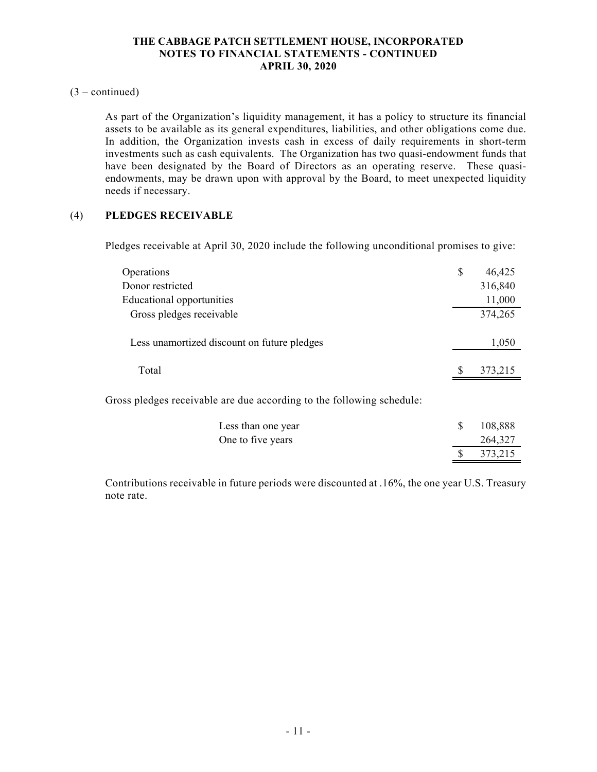### $(3 - continued)$

As part of the Organization's liquidity management, it has a policy to structure its financial assets to be available as its general expenditures, liabilities, and other obligations come due. In addition, the Organization invests cash in excess of daily requirements in short-term investments such as cash equivalents. The Organization has two quasi-endowment funds that have been designated by the Board of Directors as an operating reserve. These quasiendowments, may be drawn upon with approval by the Board, to meet unexpected liquidity needs if necessary.

# (4) **PLEDGES RECEIVABLE**

Pledges receivable at April 30, 2020 include the following unconditional promises to give:

| Operations                                                            | \$<br>46,425 |
|-----------------------------------------------------------------------|--------------|
| Donor restricted                                                      | 316,840      |
| Educational opportunities                                             | 11,000       |
| Gross pledges receivable                                              | 374,265      |
| Less unamortized discount on future pledges                           | 1,050        |
| Total                                                                 | 373,215      |
| Gross pledges receivable are due according to the following schedule: |              |

| Less than one year | 108,888 |
|--------------------|---------|
| One to five years  | 264,327 |
|                    | 373,215 |

Contributions receivable in future periods were discounted at .16%, the one year U.S. Treasury note rate.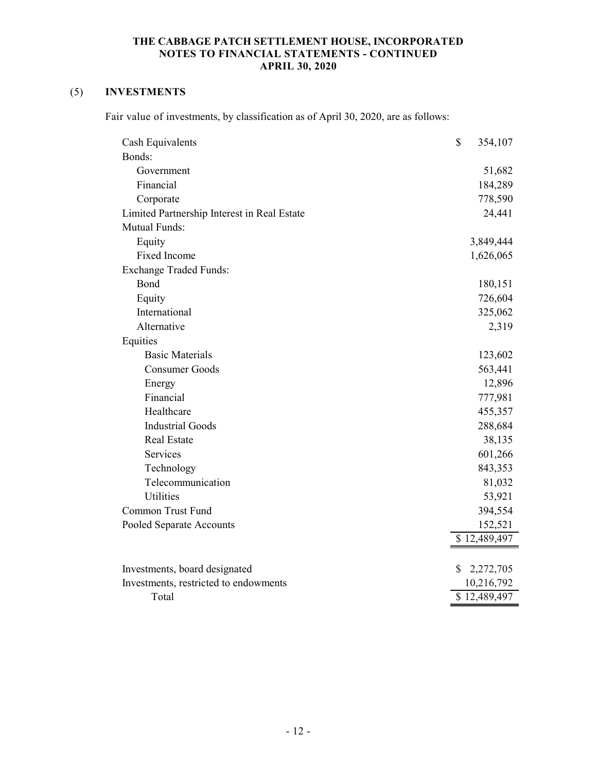# (5) **INVESTMENTS**

Fair value of investments, by classification as of April 30, 2020, are as follows:

| Cash Equivalents                            | $\mathbb{S}$ | 354,107      |
|---------------------------------------------|--------------|--------------|
| Bonds:                                      |              |              |
| Government                                  |              | 51,682       |
| Financial                                   |              | 184,289      |
| Corporate                                   |              | 778,590      |
| Limited Partnership Interest in Real Estate |              | 24,441       |
| Mutual Funds:                               |              |              |
| Equity                                      |              | 3,849,444    |
| Fixed Income                                |              | 1,626,065    |
| <b>Exchange Traded Funds:</b>               |              |              |
| Bond                                        |              | 180,151      |
| Equity                                      |              | 726,604      |
| International                               |              | 325,062      |
| Alternative                                 |              | 2,319        |
| Equities                                    |              |              |
| <b>Basic Materials</b>                      |              | 123,602      |
| <b>Consumer Goods</b>                       |              | 563,441      |
| Energy                                      |              | 12,896       |
| Financial                                   |              | 777,981      |
| Healthcare                                  |              | 455,357      |
| <b>Industrial Goods</b>                     |              | 288,684      |
| <b>Real Estate</b>                          |              | 38,135       |
| Services                                    |              | 601,266      |
| Technology                                  |              | 843,353      |
| Telecommunication                           |              | 81,032       |
| <b>Utilities</b>                            |              | 53,921       |
| <b>Common Trust Fund</b>                    |              | 394,554      |
| Pooled Separate Accounts                    |              | 152,521      |
|                                             |              | \$12,489,497 |
|                                             |              |              |
| Investments, board designated               | S            | 2,272,705    |
| Investments, restricted to endowments       |              | 10,216,792   |
| Total                                       |              | \$12,489,497 |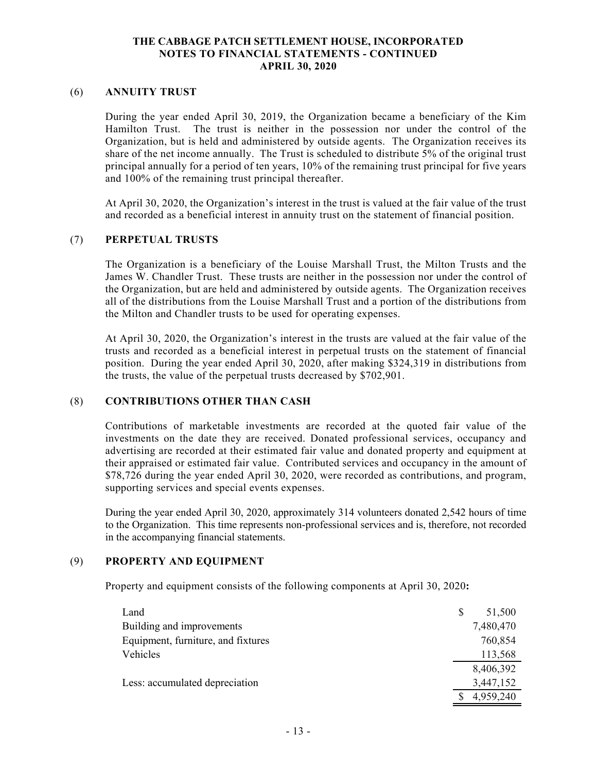### (6) **ANNUITY TRUST**

During the year ended April 30, 2019, the Organization became a beneficiary of the Kim Hamilton Trust. The trust is neither in the possession nor under the control of the Organization, but is held and administered by outside agents. The Organization receives its share of the net income annually. The Trust is scheduled to distribute 5% of the original trust principal annually for a period of ten years, 10% of the remaining trust principal for five years and 100% of the remaining trust principal thereafter.

At April 30, 2020, the Organization's interest in the trust is valued at the fair value of the trust and recorded as a beneficial interest in annuity trust on the statement of financial position.

#### (7) **PERPETUAL TRUSTS**

The Organization is a beneficiary of the Louise Marshall Trust, the Milton Trusts and the James W. Chandler Trust. These trusts are neither in the possession nor under the control of the Organization, but are held and administered by outside agents. The Organization receives all of the distributions from the Louise Marshall Trust and a portion of the distributions from the Milton and Chandler trusts to be used for operating expenses.

At April 30, 2020, the Organization's interest in the trusts are valued at the fair value of the trusts and recorded as a beneficial interest in perpetual trusts on the statement of financial position. During the year ended April 30, 2020, after making \$324,319 in distributions from the trusts, the value of the perpetual trusts decreased by \$702,901.

#### (8) **CONTRIBUTIONS OTHER THAN CASH**

Contributions of marketable investments are recorded at the quoted fair value of the investments on the date they are received. Donated professional services, occupancy and advertising are recorded at their estimated fair value and donated property and equipment at their appraised or estimated fair value. Contributed services and occupancy in the amount of \$78,726 during the year ended April 30, 2020, were recorded as contributions, and program, supporting services and special events expenses.

During the year ended April 30, 2020, approximately 314 volunteers donated 2,542 hours of time to the Organization. This time represents non-professional services and is, therefore, not recorded in the accompanying financial statements.

### (9) **PROPERTY AND EQUIPMENT**

Property and equipment consists of the following components at April 30, 2020**:** 

| Land                               | 51,500    |
|------------------------------------|-----------|
| Building and improvements          | 7,480,470 |
| Equipment, furniture, and fixtures | 760,854   |
| Vehicles                           | 113,568   |
|                                    | 8,406,392 |
| Less: accumulated depreciation     | 3,447,152 |
|                                    | 4,959,240 |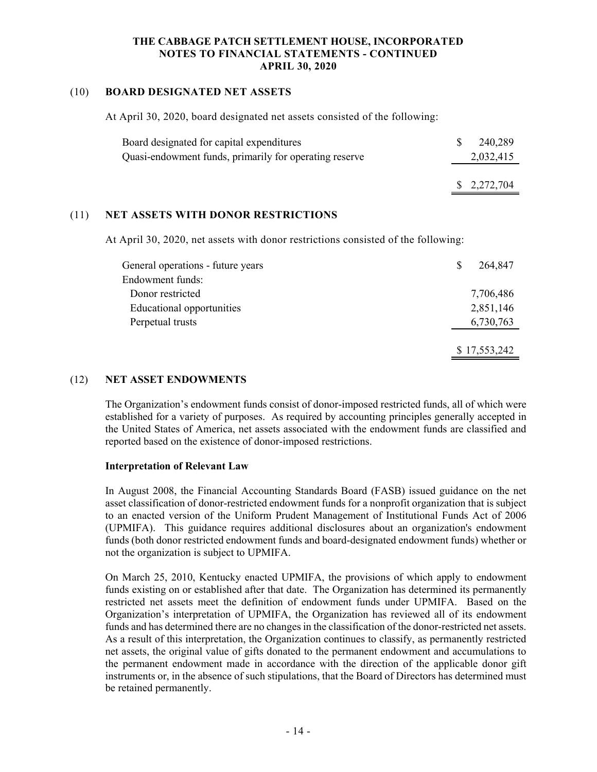### (10) **BOARD DESIGNATED NET ASSETS**

At April 30, 2020, board designated net assets consisted of the following:

| Board designated for capital expenditures<br>Quasi-endowment funds, primarily for operating reserve | 240,289<br>2,032,415 |
|-----------------------------------------------------------------------------------------------------|----------------------|
|                                                                                                     | \$2,272,704          |

### (11) **NET ASSETS WITH DONOR RESTRICTIONS**

At April 30, 2020, net assets with donor restrictions consisted of the following:

| General operations - future years | S. | 264,847      |
|-----------------------------------|----|--------------|
| Endowment funds:                  |    |              |
| Donor restricted                  |    | 7,706,486    |
| Educational opportunities         |    | 2,851,146    |
| Perpetual trusts                  |    | 6,730,763    |
|                                   |    |              |
|                                   |    | \$17,553,242 |

#### (12) **NET ASSET ENDOWMENTS**

The Organization's endowment funds consist of donor-imposed restricted funds, all of which were established for a variety of purposes. As required by accounting principles generally accepted in the United States of America, net assets associated with the endowment funds are classified and reported based on the existence of donor-imposed restrictions.

### **Interpretation of Relevant Law**

In August 2008, the Financial Accounting Standards Board (FASB) issued guidance on the net asset classification of donor-restricted endowment funds for a nonprofit organization that is subject to an enacted version of the Uniform Prudent Management of Institutional Funds Act of 2006 (UPMIFA). This guidance requires additional disclosures about an organization's endowment funds (both donor restricted endowment funds and board-designated endowment funds) whether or not the organization is subject to UPMIFA.

On March 25, 2010, Kentucky enacted UPMIFA, the provisions of which apply to endowment funds existing on or established after that date. The Organization has determined its permanently restricted net assets meet the definition of endowment funds under UPMIFA. Based on the Organization's interpretation of UPMIFA, the Organization has reviewed all of its endowment funds and has determined there are no changes in the classification of the donor-restricted net assets. As a result of this interpretation, the Organization continues to classify, as permanently restricted net assets, the original value of gifts donated to the permanent endowment and accumulations to the permanent endowment made in accordance with the direction of the applicable donor gift instruments or, in the absence of such stipulations, that the Board of Directors has determined must be retained permanently.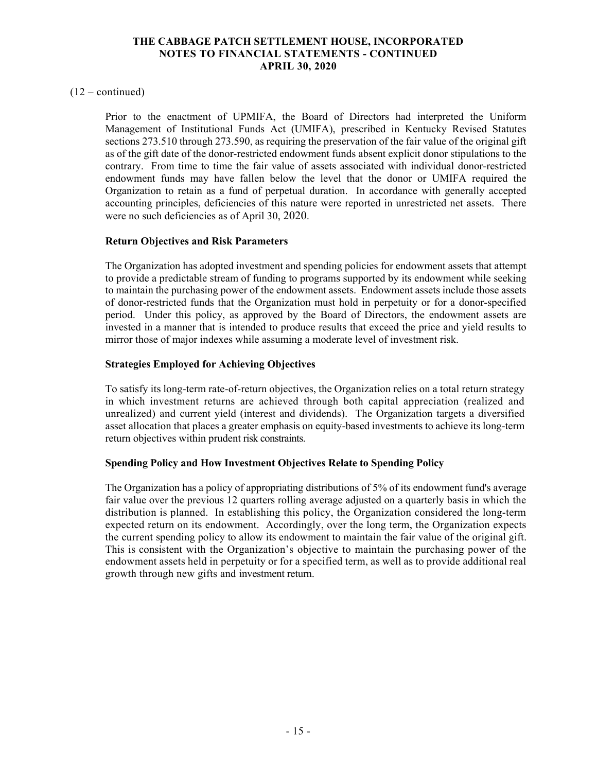### $(12 - \text{continued})$

Prior to the enactment of UPMIFA, the Board of Directors had interpreted the Uniform Management of Institutional Funds Act (UMIFA), prescribed in Kentucky Revised Statutes sections 273.510 through 273.590, as requiring the preservation of the fair value of the original gift as of the gift date of the donor-restricted endowment funds absent explicit donor stipulations to the contrary. From time to time the fair value of assets associated with individual donor-restricted endowment funds may have fallen below the level that the donor or UMIFA required the Organization to retain as a fund of perpetual duration. In accordance with generally accepted accounting principles, deficiencies of this nature were reported in unrestricted net assets. There were no such deficiencies as of April 30, 2020.

### **Return Objectives and Risk Parameters**

The Organization has adopted investment and spending policies for endowment assets that attempt to provide a predictable stream of funding to programs supported by its endowment while seeking to maintain the purchasing power of the endowment assets. Endowment assets include those assets of donor-restricted funds that the Organization must hold in perpetuity or for a donor-specified period. Under this policy, as approved by the Board of Directors, the endowment assets are invested in a manner that is intended to produce results that exceed the price and yield results to mirror those of major indexes while assuming a moderate level of investment risk.

### **Strategies Employed for Achieving Objectives**

To satisfy its long-term rate-of-return objectives, the Organization relies on a total return strategy in which investment returns are achieved through both capital appreciation (realized and unrealized) and current yield (interest and dividends). The Organization targets a diversified asset allocation that places a greater emphasis on equity-based investments to achieve its long-term return objectives within prudent risk constraints.

### **Spending Policy and How Investment Objectives Relate to Spending Policy**

The Organization has a policy of appropriating distributions of 5% of its endowment fund's average fair value over the previous 12 quarters rolling average adjusted on a quarterly basis in which the distribution is planned. In establishing this policy, the Organization considered the long-term expected return on its endowment. Accordingly, over the long term, the Organization expects the current spending policy to allow its endowment to maintain the fair value of the original gift. This is consistent with the Organization's objective to maintain the purchasing power of the endowment assets held in perpetuity or for a specified term, as well as to provide additional real growth through new gifts and investment return.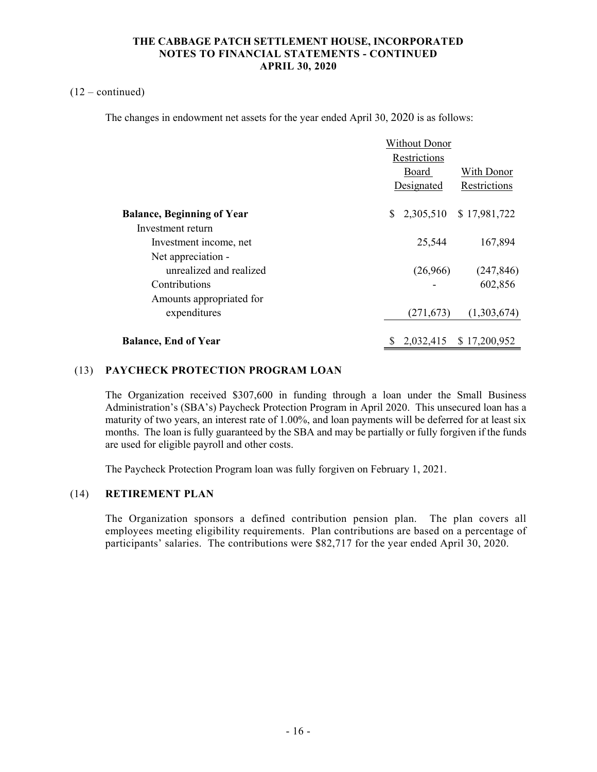### $(12 - \text{continued})$

The changes in endowment net assets for the year ended April 30, 2020 is as follows:

|                                   | <b>Without Donor</b> |              |
|-----------------------------------|----------------------|--------------|
|                                   | Restrictions         |              |
|                                   | Board                | With Donor   |
|                                   | Designated           | Restrictions |
| <b>Balance, Beginning of Year</b> | \$2,305,510          | \$17,981,722 |
| Investment return                 |                      |              |
| Investment income, net            | 25,544               | 167,894      |
| Net appreciation -                |                      |              |
| unrealized and realized           | (26,966)             | (247, 846)   |
| Contributions                     |                      | 602,856      |
| Amounts appropriated for          |                      |              |
| expenditures                      | (271, 673)           | (1,303,674)  |
| <b>Balance, End of Year</b>       | 2,032,415            | \$17,200,952 |

### (13) **PAYCHECK PROTECTION PROGRAM LOAN**

The Organization received \$307,600 in funding through a loan under the Small Business Administration's (SBA's) Paycheck Protection Program in April 2020. This unsecured loan has a maturity of two years, an interest rate of 1.00%, and loan payments will be deferred for at least six months. The loan is fully guaranteed by the SBA and may be partially or fully forgiven if the funds are used for eligible payroll and other costs.

The Paycheck Protection Program loan was fully forgiven on February 1, 2021.

### (14) **RETIREMENT PLAN**

The Organization sponsors a defined contribution pension plan. The plan covers all employees meeting eligibility requirements. Plan contributions are based on a percentage of participants' salaries. The contributions were \$82,717 for the year ended April 30, 2020.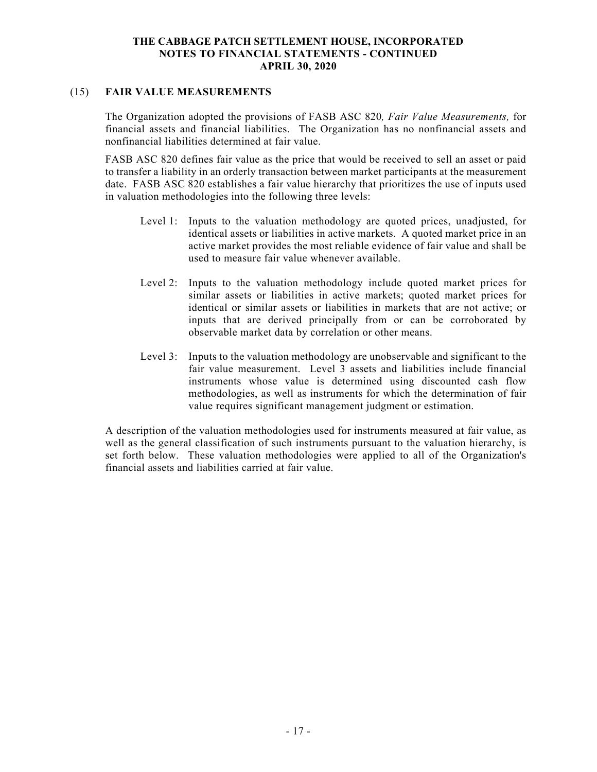### (15) **FAIR VALUE MEASUREMENTS**

The Organization adopted the provisions of FASB ASC 820*, Fair Value Measurements,* for financial assets and financial liabilities. The Organization has no nonfinancial assets and nonfinancial liabilities determined at fair value.

FASB ASC 820 defines fair value as the price that would be received to sell an asset or paid to transfer a liability in an orderly transaction between market participants at the measurement date. FASB ASC 820 establishes a fair value hierarchy that prioritizes the use of inputs used in valuation methodologies into the following three levels:

- Level 1: Inputs to the valuation methodology are quoted prices, unadjusted, for identical assets or liabilities in active markets. A quoted market price in an active market provides the most reliable evidence of fair value and shall be used to measure fair value whenever available.
- Level 2: Inputs to the valuation methodology include quoted market prices for similar assets or liabilities in active markets; quoted market prices for identical or similar assets or liabilities in markets that are not active; or inputs that are derived principally from or can be corroborated by observable market data by correlation or other means.
- Level 3: Inputs to the valuation methodology are unobservable and significant to the fair value measurement. Level 3 assets and liabilities include financial instruments whose value is determined using discounted cash flow methodologies, as well as instruments for which the determination of fair value requires significant management judgment or estimation.

A description of the valuation methodologies used for instruments measured at fair value, as well as the general classification of such instruments pursuant to the valuation hierarchy, is set forth below. These valuation methodologies were applied to all of the Organization's financial assets and liabilities carried at fair value.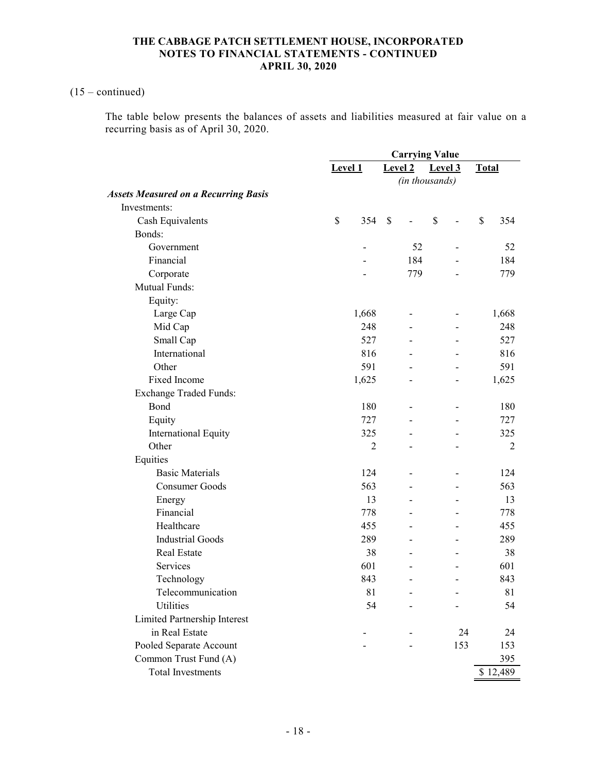# (15 – continued)

The table below presents the balances of assets and liabilities measured at fair value on a recurring basis as of April 30, 2020.

| Level 1<br>Level 2<br>Level 3<br><b>Total</b><br>(in thousands)<br>Investments:<br>\$<br>$\mathbb{S}$<br>$\$$<br>\$<br>Cash Equivalents<br>354<br>354<br>$\overline{a}$<br>$\overline{\phantom{m}}$<br>Bonds: |
|---------------------------------------------------------------------------------------------------------------------------------------------------------------------------------------------------------------|
| <b>Assets Measured on a Recurring Basis</b>                                                                                                                                                                   |
|                                                                                                                                                                                                               |
|                                                                                                                                                                                                               |
|                                                                                                                                                                                                               |
|                                                                                                                                                                                                               |
|                                                                                                                                                                                                               |
| Government<br>52<br>52<br>$\overline{\phantom{a}}$                                                                                                                                                            |
| Financial<br>184<br>184                                                                                                                                                                                       |
| 779<br>Corporate<br>779                                                                                                                                                                                       |
| <b>Mutual Funds:</b>                                                                                                                                                                                          |
| Equity:                                                                                                                                                                                                       |
| Large Cap<br>1,668<br>1,668                                                                                                                                                                                   |
| Mid Cap<br>248<br>248                                                                                                                                                                                         |
| Small Cap<br>527<br>527                                                                                                                                                                                       |
| International<br>816<br>816<br>$\overline{\phantom{a}}$                                                                                                                                                       |
| Other<br>591<br>591                                                                                                                                                                                           |
| Fixed Income<br>1,625<br>1,625                                                                                                                                                                                |
| <b>Exchange Traded Funds:</b>                                                                                                                                                                                 |
| Bond<br>180<br>180<br>$\overline{\phantom{a}}$                                                                                                                                                                |
| 727<br>727<br>Equity<br>$\overline{\phantom{a}}$                                                                                                                                                              |
| 325<br>325<br><b>International Equity</b>                                                                                                                                                                     |
| Other<br>$\overline{2}$<br>2                                                                                                                                                                                  |
| Equities                                                                                                                                                                                                      |
| <b>Basic Materials</b><br>124<br>124                                                                                                                                                                          |
| 563<br>563<br>Consumer Goods                                                                                                                                                                                  |
| 13<br>13<br>Energy<br>$\overline{\phantom{a}}$                                                                                                                                                                |
| Financial<br>778<br>778                                                                                                                                                                                       |
| Healthcare<br>455<br>455<br>$\overline{a}$<br>$\overline{\phantom{a}}$                                                                                                                                        |
| <b>Industrial Goods</b><br>289<br>289                                                                                                                                                                         |
| Real Estate<br>38<br>38                                                                                                                                                                                       |
| Services<br>601<br>601                                                                                                                                                                                        |
| 843<br>843<br>Technology                                                                                                                                                                                      |
| Telecommunication<br>81<br>81                                                                                                                                                                                 |
| Utilities<br>54<br>54                                                                                                                                                                                         |
| Limited Partnership Interest                                                                                                                                                                                  |
| in Real Estate<br>24<br>24                                                                                                                                                                                    |
| Pooled Separate Account<br>153<br>153                                                                                                                                                                         |
| Common Trust Fund (A)<br>395                                                                                                                                                                                  |
| <b>Total Investments</b><br>\$12,489                                                                                                                                                                          |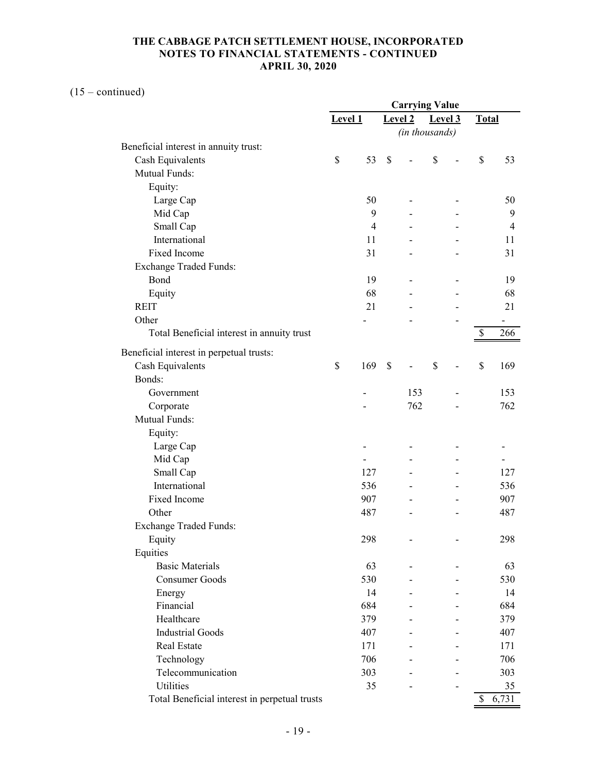# (15 – continued)

|                                               | <b>Carrying Value</b> |                |               |                |         |                          |              |                          |
|-----------------------------------------------|-----------------------|----------------|---------------|----------------|---------|--------------------------|--------------|--------------------------|
|                                               | Level 1               |                | Level 2       |                | Level 3 |                          | <b>Total</b> |                          |
|                                               |                       |                |               | (in thousands) |         |                          |              |                          |
| Beneficial interest in annuity trust:         |                       |                |               |                |         |                          |              |                          |
| Cash Equivalents                              | \$                    | 53             | $\mathcal{S}$ |                | \$      |                          | \$           | 53                       |
| Mutual Funds:                                 |                       |                |               |                |         |                          |              |                          |
| Equity:                                       |                       |                |               |                |         |                          |              |                          |
| Large Cap                                     |                       | 50             |               |                |         |                          |              | 50                       |
| Mid Cap                                       |                       | 9              |               |                |         |                          |              | 9                        |
| Small Cap                                     |                       | $\overline{4}$ |               |                |         |                          |              | $\overline{4}$           |
| International                                 |                       | 11             |               |                |         |                          |              | 11                       |
| Fixed Income                                  |                       | 31             |               |                |         |                          |              | 31                       |
| <b>Exchange Traded Funds:</b>                 |                       |                |               |                |         |                          |              |                          |
| Bond                                          |                       | 19             |               |                |         |                          |              | 19                       |
| Equity                                        |                       | 68             |               |                |         |                          |              | 68                       |
| <b>REIT</b>                                   |                       | 21             |               |                |         |                          |              | 21                       |
| Other                                         |                       |                |               |                |         |                          |              | $\overline{\phantom{0}}$ |
| Total Beneficial interest in annuity trust    |                       |                |               |                |         |                          | \$           | 266                      |
| Beneficial interest in perpetual trusts:      |                       |                |               |                |         |                          |              |                          |
| Cash Equivalents                              | $\mathbb{S}$          | 169            | \$            |                | \$      |                          | \$           | 169                      |
| Bonds:                                        |                       |                |               |                |         |                          |              |                          |
| Government                                    |                       |                |               | 153            |         |                          |              | 153                      |
| Corporate                                     |                       |                |               | 762            |         |                          |              | 762                      |
| Mutual Funds:                                 |                       |                |               |                |         |                          |              |                          |
| Equity:                                       |                       |                |               |                |         |                          |              |                          |
| Large Cap                                     |                       |                |               |                |         |                          |              |                          |
| Mid Cap                                       |                       |                |               |                |         |                          |              |                          |
| Small Cap                                     |                       | 127            |               |                |         |                          |              | 127                      |
| International                                 |                       | 536            |               |                |         |                          |              | 536                      |
| Fixed Income                                  |                       | 907            |               |                |         |                          |              | 907                      |
| Other                                         |                       | 487            |               |                |         |                          |              | 487                      |
| <b>Exchange Traded Funds:</b>                 |                       |                |               |                |         |                          |              |                          |
| Equity                                        |                       | 298            |               |                |         |                          |              | 298                      |
| Equities                                      |                       |                |               |                |         |                          |              |                          |
| <b>Basic Materials</b>                        |                       | 63             |               | $\overline{a}$ |         | $\overline{\phantom{a}}$ |              | 63                       |
| Consumer Goods                                |                       | 530            |               |                |         |                          |              | 530                      |
| Energy                                        |                       | 14             |               |                |         |                          |              | 14                       |
| Financial                                     |                       | 684            |               |                |         |                          |              | 684                      |
| Healthcare                                    |                       | 379            |               |                |         |                          |              | 379                      |
| <b>Industrial Goods</b>                       |                       | 407            |               |                |         |                          |              | 407                      |
| Real Estate                                   |                       | 171            |               |                |         |                          |              | 171                      |
| Technology                                    |                       | 706            |               |                |         |                          |              | 706                      |
| Telecommunication                             |                       | 303            |               |                |         |                          |              | 303                      |
| Utilities                                     |                       | 35             |               |                |         |                          |              | 35                       |
| Total Beneficial interest in perpetual trusts |                       |                |               |                |         |                          | \$           | 6,731                    |
|                                               |                       |                |               |                |         |                          |              |                          |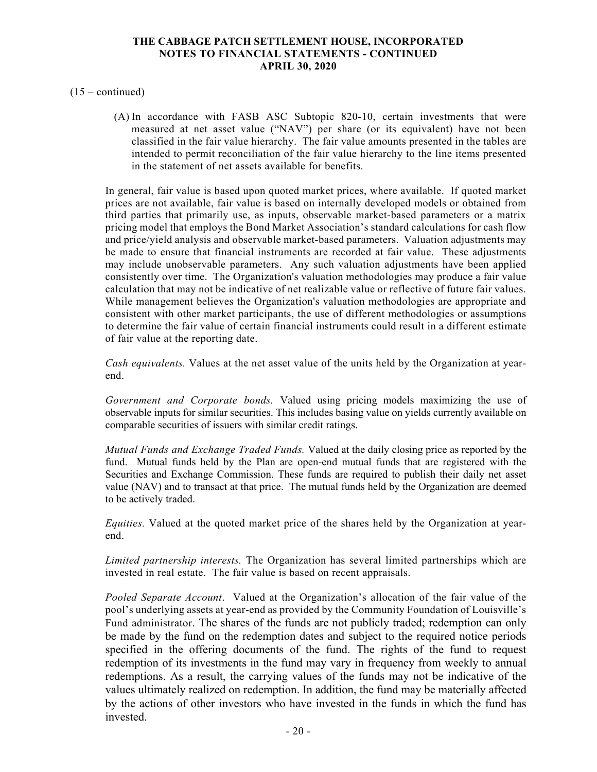### $(15 - \text{continued})$

(A) In accordance with FASB ASC Subtopic 820-10, certain investments that were measured at net asset value ("NAV") per share (or its equivalent) have not been classified in the fair value hierarchy. The fair value amounts presented in the tables are intended to permit reconciliation of the fair value hierarchy to the line items presented in the statement of net assets available for benefits.

In general, fair value is based upon quoted market prices, where available. If quoted market prices are not available, fair value is based on internally developed models or obtained from third parties that primarily use, as inputs, observable market-based parameters or a matrix pricing model that employs the Bond Market Association's standard calculations for cash flow and price/yield analysis and observable market-based parameters. Valuation adjustments may be made to ensure that financial instruments are recorded at fair value. These adjustments may include unobservable parameters. Any such valuation adjustments have been applied consistently over time. The Organization's valuation methodologies may produce a fair value calculation that may not be indicative of net realizable value or reflective of future fair values. While management believes the Organization's valuation methodologies are appropriate and consistent with other market participants, the use of different methodologies or assumptions to determine the fair value of certain financial instruments could result in a different estimate of fair value at the reporting date.

*Cash equivalents.* Values at the net asset value of the units held by the Organization at yearend.

*Government and Corporate bonds.* Valued using pricing models maximizing the use of observable inputs for similar securities. This includes basing value on yields currently available on comparable securities of issuers with similar credit ratings.

*Mutual Funds and Exchange Traded Funds.* Valued at the daily closing price as reported by the fund. Mutual funds held by the Plan are open-end mutual funds that are registered with the Securities and Exchange Commission. These funds are required to publish their daily net asset value (NAV) and to transact at that price. The mutual funds held by the Organization are deemed to be actively traded.

*Equities.* Valued at the quoted market price of the shares held by the Organization at yearend.

*Limited partnership interests.* The Organization has several limited partnerships which are invested in real estate. The fair value is based on recent appraisals.

*Pooled Separate Account*. Valued at the Organization's allocation of the fair value of the pool's underlying assets at year-end as provided by the Community Foundation of Louisville's Fund administrator. The shares of the funds are not publicly traded; redemption can only be made by the fund on the redemption dates and subject to the required notice periods specified in the offering documents of the fund. The rights of the fund to request redemption of its investments in the fund may vary in frequency from weekly to annual redemptions. As a result, the carrying values of the funds may not be indicative of the values ultimately realized on redemption. In addition, the fund may be materially affected by the actions of other investors who have invested in the funds in which the fund has invested.